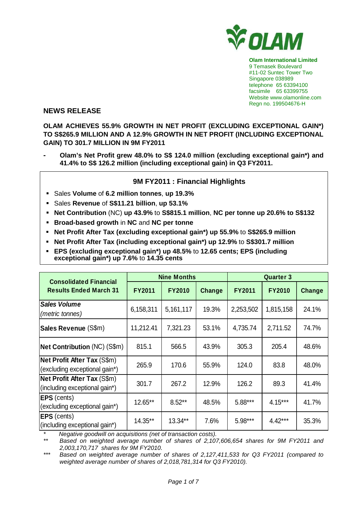

**Olam International Limited**  9 Temasek Boulevard #11-02 Suntec Tower Two Singapore 038989 telephone 65 63394100 facsimile 65 63399755 Website www.olamonline.com Regn no. 199504676-H

## **NEWS RELEASE**

**OLAM ACHIEVES 55.9% GROWTH IN NET PROFIT (EXCLUDING EXCEPTIONAL GAIN\*) TO S\$265.9 MILLION AND A 12.9% GROWTH IN NET PROFIT (INCLUDING EXCEPTIONAL GAIN) TO 301.7 MILLION IN 9M FY2011** 

**- Olam's Net Profit grew 48.0% to S\$ 124.0 million (excluding exceptional gain\*) and 41.4% to S\$ 126.2 million (including exceptional gain) in Q3 FY2011.** 

## **9M FY2011 : Financial Highlights**

- Sales **Volume** of **6.2 million tonnes**, **up 19.3%**
- Sales **Revenue** of **S\$11.21 billion**, **up 53.1%**
- **Net Contribution** (NC) **up 43.9%** to **S\$815.1 million**, **NC per tonne up 20.6% to S\$132**
- **Broad-based growth** in **NC** and **NC per tonne**
- **Net Profit After Tax (excluding exceptional gain\*) up 55.9%** to **S\$265.9 million**
- **Net Profit After Tax (including exceptional gain\*) up 12.9%** to **S\$301.7 million**
- **EPS (excluding exceptional gain\*) up 48.5%** to **12.65 cents; EPS (including exceptional gain\*) up 7.6%** to **14.35 cents**

| <b>Consolidated Financial</b>                                       |               | <b>Nine Months</b> |        | <b>Quarter 3</b> |               |        |
|---------------------------------------------------------------------|---------------|--------------------|--------|------------------|---------------|--------|
| <b>Results Ended March 31</b>                                       | <b>FY2011</b> | <b>FY2010</b>      | Change | <b>FY2011</b>    | <b>FY2010</b> | Change |
| <b>Sales Volume</b><br>(metric tonnes)                              | 6,158,311     | 5,161,117          | 19.3%  | 2,253,502        | 1,815,158     | 24.1%  |
| Sales Revenue (S\$m)                                                | 11,212.41     | 7,321.23           | 53.1%  | 4,735.74         | 2,711.52      | 74.7%  |
| <b>Net Contribution (NC) (S\$m)</b>                                 | 815.1         | 566.5              | 43.9%  | 305.3            | 205.4         | 48.6%  |
| Net Profit After Tax (S\$m)<br>(excluding exceptional gain*)        | 265.9         | 170.6              | 55.9%  | 124.0            | 83.8          | 48.0%  |
| <b>Net Profit After Tax (S\$m)</b><br>(including exceptional gain*) | 301.7         | 267.2              | 12.9%  | 126.2            | 89.3          | 41.4%  |
| <b>EPS</b> (cents)<br>(excluding exceptional gain*)                 | 12.65**       | $8.52**$           | 48.5%  | 5.88***          | $4.15***$     | 41.7%  |
| <b>EPS</b> (cents)<br>(including exceptional gain*)                 | 14.35**       | 13.34**            | 7.6%   | 5.98***          | $4.42***$     | 35.3%  |

\* Negative goodwill on acquisitions (net of transaction costs).

Based on weighted average number of shares of 2,107,606,654 shares for 9M FY2011 and 2,003,170,717 shares for 9M FY2010.

\*\*\* Based on weighted average number of shares of 2,127,411,533 for Q3 FY2011 (compared to weighted average number of shares of 2,018,781,314 for Q3 FY2010).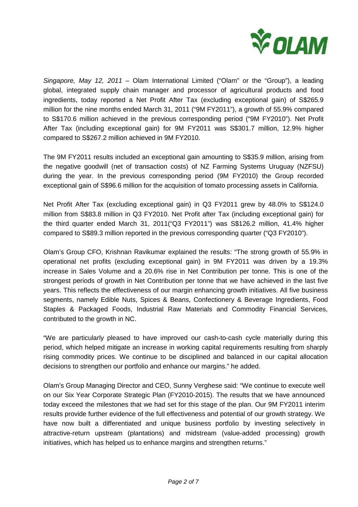

Singapore, May 12, 2011 – Olam International Limited ("Olam" or the "Group"), a leading global, integrated supply chain manager and processor of agricultural products and food ingredients, today reported a Net Profit After Tax (excluding exceptional gain) of S\$265.9 million for the nine months ended March 31, 2011 ("9M FY2011"), a growth of 55.9% compared to S\$170.6 million achieved in the previous corresponding period ("9M FY2010"). Net Profit After Tax (including exceptional gain) for 9M FY2011 was S\$301.7 million, 12.9% higher compared to S\$267.2 million achieved in 9M FY2010.

The 9M FY2011 results included an exceptional gain amounting to S\$35.9 million, arising from the negative goodwill (net of transaction costs) of NZ Farming Systems Uruguay (NZFSU) during the year. In the previous corresponding period (9M FY2010) the Group recorded exceptional gain of S\$96.6 million for the acquisition of tomato processing assets in California.

Net Profit After Tax (excluding exceptional gain) in Q3 FY2011 grew by 48.0% to S\$124.0 million from S\$83.8 million in Q3 FY2010. Net Profit after Tax (including exceptional gain) for the third quarter ended March 31, 2011("Q3 FY2011") was S\$126.2 million, 41.4% higher compared to S\$89.3 million reported in the previous corresponding quarter ("Q3 FY2010").

Olam's Group CFO, Krishnan Ravikumar explained the results: "The strong growth of 55.9% in operational net profits (excluding exceptional gain) in 9M FY2011 was driven by a 19.3% increase in Sales Volume and a 20.6% rise in Net Contribution per tonne. This is one of the strongest periods of growth in Net Contribution per tonne that we have achieved in the last five years. This reflects the effectiveness of our margin enhancing growth initiatives. All five business segments, namely Edible Nuts, Spices & Beans, Confectionery & Beverage Ingredients, Food Staples & Packaged Foods, Industrial Raw Materials and Commodity Financial Services, contributed to the growth in NC.

"We are particularly pleased to have improved our cash-to-cash cycle materially during this period, which helped mitigate an increase in working capital requirements resulting from sharply rising commodity prices. We continue to be disciplined and balanced in our capital allocation decisions to strengthen our portfolio and enhance our margins." he added.

Olam's Group Managing Director and CEO, Sunny Verghese said: "We continue to execute well on our Six Year Corporate Strategic Plan (FY2010-2015). The results that we have announced today exceed the milestones that we had set for this stage of the plan. Our 9M FY2011 interim results provide further evidence of the full effectiveness and potential of our growth strategy. We have now built a differentiated and unique business portfolio by investing selectively in attractive-return upstream (plantations) and midstream (value-added processing) growth initiatives, which has helped us to enhance margins and strengthen returns."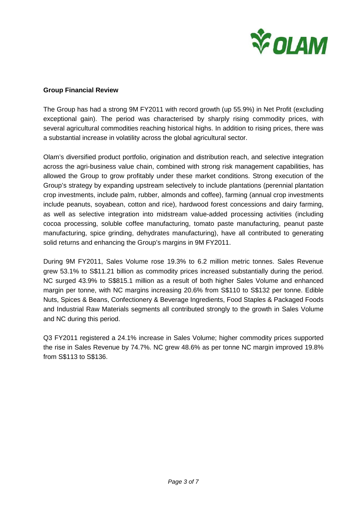

### **Group Financial Review**

The Group has had a strong 9M FY2011 with record growth (up 55.9%) in Net Profit (excluding exceptional gain). The period was characterised by sharply rising commodity prices, with several agricultural commodities reaching historical highs. In addition to rising prices, there was a substantial increase in volatility across the global agricultural sector.

Olam's diversified product portfolio, origination and distribution reach, and selective integration across the agri-business value chain, combined with strong risk management capabilities, has allowed the Group to grow profitably under these market conditions. Strong execution of the Group's strategy by expanding upstream selectively to include plantations (perennial plantation crop investments, include palm, rubber, almonds and coffee), farming (annual crop investments include peanuts, soyabean, cotton and rice), hardwood forest concessions and dairy farming, as well as selective integration into midstream value-added processing activities (including cocoa processing, soluble coffee manufacturing, tomato paste manufacturing, peanut paste manufacturing, spice grinding, dehydrates manufacturing), have all contributed to generating solid returns and enhancing the Group's margins in 9M FY2011.

During 9M FY2011, Sales Volume rose 19.3% to 6.2 million metric tonnes. Sales Revenue grew 53.1% to S\$11.21 billion as commodity prices increased substantially during the period. NC surged 43.9% to S\$815.1 million as a result of both higher Sales Volume and enhanced margin per tonne, with NC margins increasing 20.6% from S\$110 to S\$132 per tonne. Edible Nuts, Spices & Beans, Confectionery & Beverage Ingredients, Food Staples & Packaged Foods and Industrial Raw Materials segments all contributed strongly to the growth in Sales Volume and NC during this period.

Q3 FY2011 registered a 24.1% increase in Sales Volume; higher commodity prices supported the rise in Sales Revenue by 74.7%. NC grew 48.6% as per tonne NC margin improved 19.8% from S\$113 to S\$136.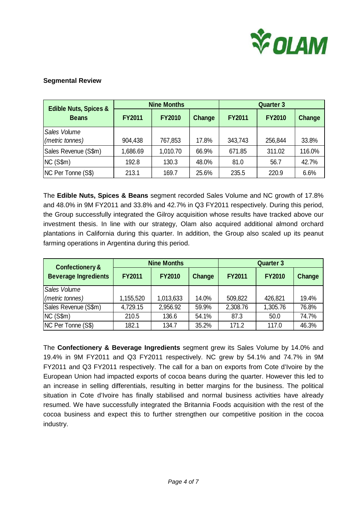

## **Segmental Review**

| <b>Edible Nuts, Spices &amp;</b><br><b>Beans</b> | <b>Nine Months</b> |               |        | <b>Quarter 3</b> |               |        |
|--------------------------------------------------|--------------------|---------------|--------|------------------|---------------|--------|
|                                                  | <b>FY2011</b>      | <b>FY2010</b> | Change | <b>FY2011</b>    | <b>FY2010</b> | Change |
| Sales Volume<br>(metric tonnes)                  | 904,438            | 767,853       | 17.8%  | 343,743          | 256,844       | 33.8%  |
| Sales Revenue (S\$m)                             | 1,686.69           | 1,010.70      | 66.9%  | 671.85           | 311.02        | 116.0% |
| NC(S\$m)                                         | 192.8              | 130.3         | 48.0%  | 81.0             | 56.7          | 42.7%  |
| NC Per Tonne (S\$)                               | 213.1              | 169.7         | 25.6%  | 235.5            | 220.9         | 6.6%   |

The **Edible Nuts, Spices & Beans** segment recorded Sales Volume and NC growth of 17.8% and 48.0% in 9M FY2011 and 33.8% and 42.7% in Q3 FY2011 respectively. During this period, the Group successfully integrated the Gilroy acquisition whose results have tracked above our investment thesis. In line with our strategy, Olam also acquired additional almond orchard plantations in California during this quarter. In addition, the Group also scaled up its peanut farming operations in Argentina during this period.

| <b>Confectionery &amp;</b><br><b>Beverage Ingredients</b> | <b>Nine Months</b> |               |        | <b>Quarter 3</b> |               |        |
|-----------------------------------------------------------|--------------------|---------------|--------|------------------|---------------|--------|
|                                                           | <b>FY2011</b>      | <b>FY2010</b> | Change | <b>FY2011</b>    | <b>FY2010</b> | Change |
| Sales Volume                                              |                    |               |        |                  |               |        |
| (metric tonnes)                                           | 1,155,520          | 1,013,633     | 14.0%  | 509,822          | 426,821       | 19.4%  |
| Sales Revenue (S\$m)                                      | 4,729.15           | 2,956.92      | 59.9%  | 2,308.76         | 1,305.76      | 76.8%  |
| NC(S\$m)                                                  | 210.5              | 136.6         | 54.1%  | 87.3             | 50.0          | 74.7%  |
| NC Per Tonne (S\$)                                        | 182.1              | 134.7         | 35.2%  | 171.2            | 117.0         | 46.3%  |

The **Confectionery & Beverage Ingredients** segment grew its Sales Volume by 14.0% and 19.4% in 9M FY2011 and Q3 FY2011 respectively. NC grew by 54.1% and 74.7% in 9M FY2011 and Q3 FY2011 respectively. The call for a ban on exports from Cote d'Ivoire by the European Union had impacted exports of cocoa beans during the quarter. However this led to an increase in selling differentials, resulting in better margins for the business. The political situation in Cote d'Ivoire has finally stabilised and normal business activities have already resumed. We have successfully integrated the Britannia Foods acquisition with the rest of the cocoa business and expect this to further strengthen our competitive position in the cocoa industry.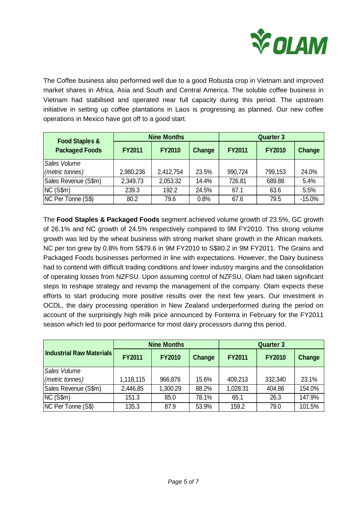

The Coffee business also performed well due to a good Robusta crop in Vietnam and improved market shares in Africa, Asia and South and Central America. The soluble coffee business in Vietnam had stabilised and operated near full capacity during this period. The upstream initiative in setting up coffee plantations in Laos is progressing as planned. Our new coffee operations in Mexico have got off to a good start.

| <b>Food Staples &amp;</b> |               | <b>Nine Months</b> |        |               | <b>Quarter 3</b> |          |  |
|---------------------------|---------------|--------------------|--------|---------------|------------------|----------|--|
| <b>Packaged Foods</b>     | <b>FY2011</b> | <b>FY2010</b>      | Change | <b>FY2011</b> | <b>FY2010</b>    | Change   |  |
| Sales Volume              |               |                    |        |               |                  |          |  |
| (metric tonnes)           | 2,980,236     | 2,412,754          | 23.5%  | 990,724       | 799,153          | 24.0%    |  |
| Sales Revenue (S\$m)      | 2,349.73      | 2,053.32           | 14.4%  | 726.81        | 689.88           | 5.4%     |  |
| NC(S\$m)                  | 239.3         | 192.2              | 24.5%  | 67.1          | 63.6             | 5.5%     |  |
| NC Per Tonne (S\$)        | 80.2          | 79.6               | 0.8%   | 67.6          | 79.5             | $-15.0%$ |  |

The **Food Staples & Packaged Foods** segment achieved volume growth of 23.5%, GC growth of 26.1% and NC growth of 24.5% respectively compared to 9M FY2010. This strong volume growth was led by the wheat business with strong market share growth in the African markets. NC per ton grew by 0.8% from S\$79.6 in 9M FY2010 to S\$80.2 in 9M FY2011. The Grains and Packaged Foods businesses performed in line with expectations. However, the Dairy business had to contend with difficult trading conditions and lower industry margins and the consolidation of operating losses from NZFSU. Upon assuming control of NZFSU, Olam had taken significant steps to reshape strategy and revamp the management of the company. Olam expects these efforts to start producing more positive results over the next few years. Our investment in OCDL, the dairy processing operation in New Zealand underperformed during the period on account of the surprisingly high milk price announced by Fonterra in February for the FY2011 season which led to poor performance for most dairy processors during this period.

| <b>Industrial Raw Materials</b> |               | <b>Nine Months</b> |        |               | <b>Quarter 3</b> |        |  |
|---------------------------------|---------------|--------------------|--------|---------------|------------------|--------|--|
|                                 | <b>FY2011</b> | <b>FY2010</b>      | Change | <b>FY2011</b> | <b>FY2010</b>    | Change |  |
| Sales Volume                    |               |                    |        |               |                  |        |  |
| (metric tonnes)                 | 1,118,115     | 966,876            | 15.6%  | 409,213       | 332,340          | 23.1%  |  |
| Sales Revenue (S\$m)            | 2,446.85      | 1,300.29           | 88.2%  | 1,028.31      | 404.86           | 154.0% |  |
| NC(S\$m)                        | 151.3         | 85.0               | 78.1%  | 65.1          | 26.3             | 147.9% |  |
| NC Per Tonne (S\$)              | 135.3         | 87.9               | 53.9%  | 159.2         | 79.0             | 101.5% |  |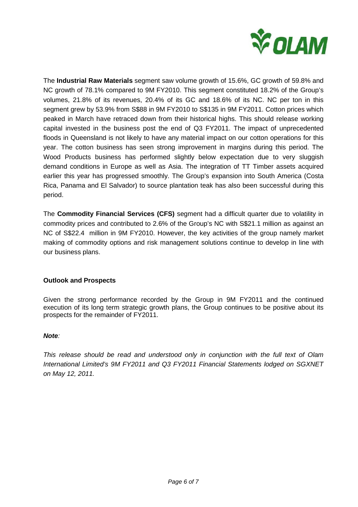

The **Industrial Raw Materials** segment saw volume growth of 15.6%, GC growth of 59.8% and NC growth of 78.1% compared to 9M FY2010. This segment constituted 18.2% of the Group's volumes, 21.8% of its revenues, 20.4% of its GC and 18.6% of its NC. NC per ton in this segment grew by 53.9% from S\$88 in 9M FY2010 to S\$135 in 9M FY2011. Cotton prices which peaked in March have retraced down from their historical highs. This should release working capital invested in the business post the end of Q3 FY2011. The impact of unprecedented floods in Queensland is not likely to have any material impact on our cotton operations for this year. The cotton business has seen strong improvement in margins during this period. The Wood Products business has performed slightly below expectation due to very sluggish demand conditions in Europe as well as Asia. The integration of TT Timber assets acquired earlier this year has progressed smoothly. The Group's expansion into South America (Costa Rica, Panama and El Salvador) to source plantation teak has also been successful during this period.

The **Commodity Financial Services (CFS)** segment had a difficult quarter due to volatility in commodity prices and contributed to 2.6% of the Group's NC with S\$21.1 million as against an NC of S\$22.4 million in 9M FY2010. However, the key activities of the group namely market making of commodity options and risk management solutions continue to develop in line with our business plans.

# **Outlook and Prospects**

Given the strong performance recorded by the Group in 9M FY2011 and the continued execution of its long term strategic growth plans, the Group continues to be positive about its prospects for the remainder of FY2011.

### **Note**:

This release should be read and understood only in conjunction with the full text of Olam International Limited's 9M FY2011 and Q3 FY2011 Financial Statements lodged on SGXNET on May 12, 2011.